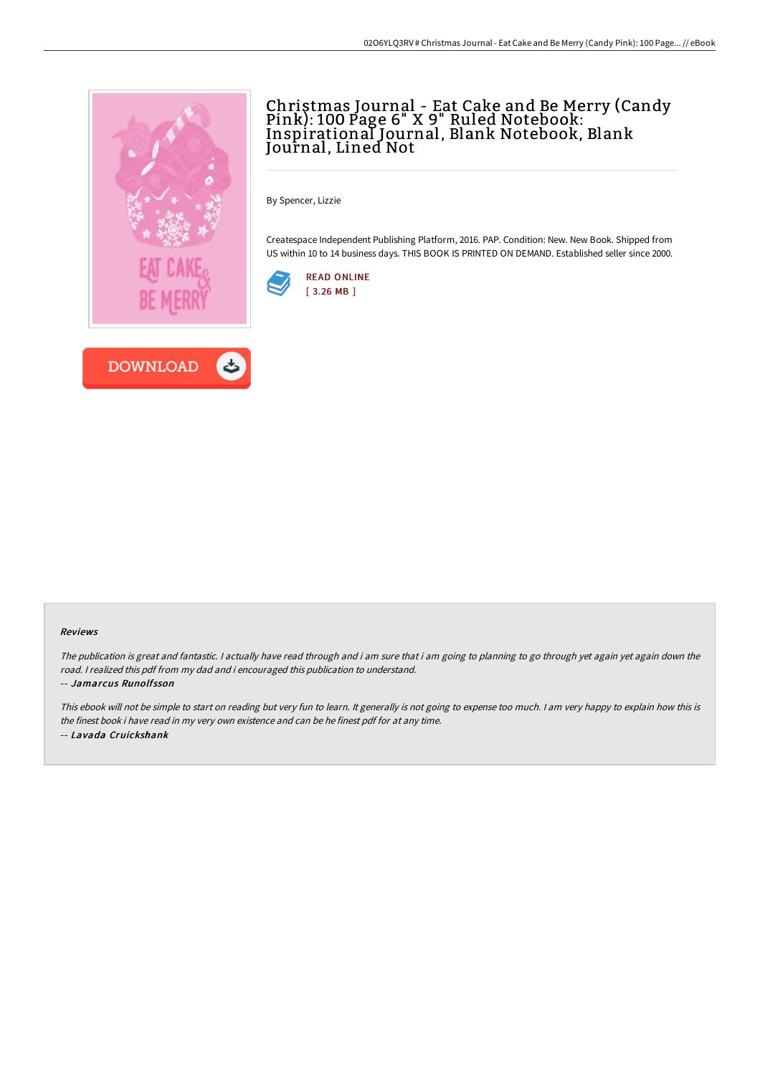



## Christmas Journal - Eat Cake and Be Merry (Candy Pink): 100 Page 6" X 9" Ruled Notebook: Inspirational Journal, Blank Notebook, Blank Journal, Lined Not

By Spencer, Lizzie

Createspace Independent Publishing Platform, 2016. PAP. Condition: New. New Book. Shipped from US within 10 to 14 business days. THIS BOOK IS PRINTED ON DEMAND. Established seller since 2000.



#### Reviews

The publication is great and fantastic. I actually have read through and i am sure that i am going to planning to go through yet again yet again down the road. <sup>I</sup> realized this pdf from my dad and i encouraged this publication to understand.

-- Jamarcus Runolfsson

This ebook will not be simple to start on reading but very fun to learn. It generally is not going to expense too much. <sup>I</sup> am very happy to explain how this is the finest book i have read in my very own existence and can be he finest pdf for at any time. -- Lavada Cruickshank